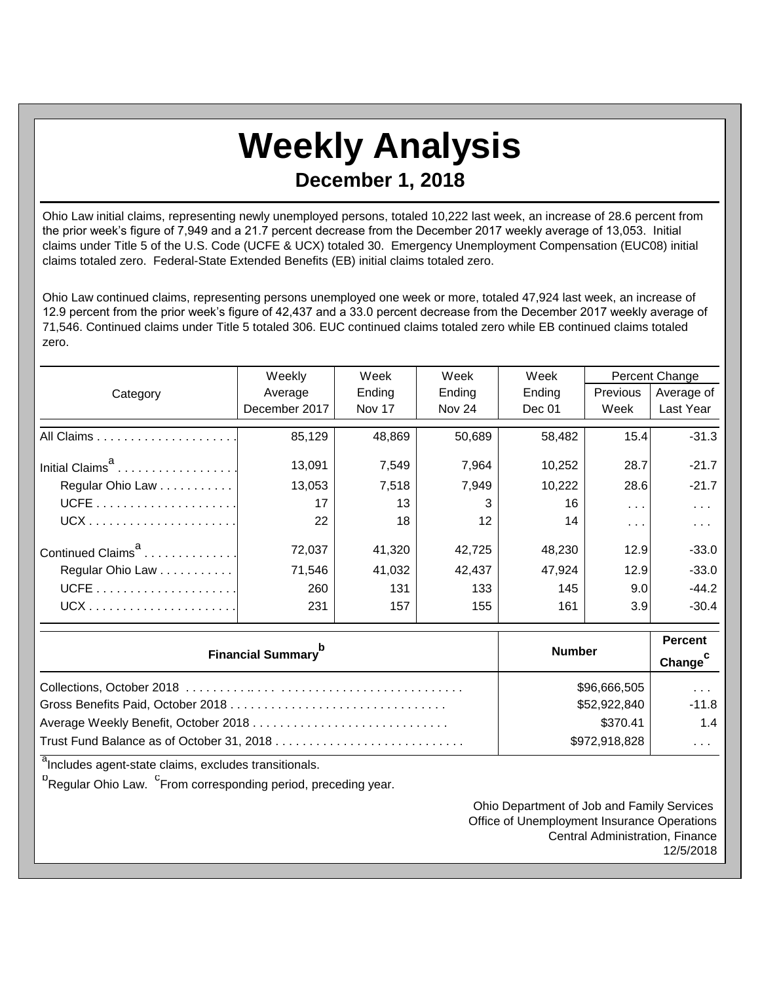## **Weekly Analysis December 1, 2018**

Ohio Law initial claims, representing newly unemployed persons, totaled 10,222 last week, an increase of 28.6 percent from the prior week's figure of 7,949 and a 21.7 percent decrease from the December 2017 weekly average of 13,053. Initial claims under Title 5 of the U.S. Code (UCFE & UCX) totaled 30. Emergency Unemployment Compensation (EUC08) initial claims totaled zero. Federal-State Extended Benefits (EB) initial claims totaled zero.

Ohio Law continued claims, representing persons unemployed one week or more, totaled 47,924 last week, an increase of 12.9 percent from the prior week's figure of 42,437 and a 33.0 percent decrease from the December 2017 weekly average of 71,546. Continued claims under Title 5 totaled 306. EUC continued claims totaled zero while EB continued claims totaled zero.

|                               | Weekly        | Week   | Week                | Week   | Percent Change          |               |
|-------------------------------|---------------|--------|---------------------|--------|-------------------------|---------------|
| Category                      | Average       | Ending | Ending              | Ending | <b>Previous</b>         | Average of    |
|                               | December 2017 | Nov 17 | Nov 24              | Dec 01 | Week                    | Last Year     |
|                               | 85,129        | 48,869 | 50,689              | 58,482 | 15.4                    | $-31.3$       |
| Initial Claims <sup>a</sup>   | 13,091        | 7,549  | 7,964               | 10,252 | 28.7                    | $-21.7$       |
| Regular Ohio Law              | 13,053        | 7,518  | 7,949               | 10,222 | 28.6                    | $-21.7$       |
|                               | 17            | 13     | 3                   | 16     | $\cdots$                | $\cdots$      |
|                               | 22            | 18     | 12                  | 14     | $\sim 100$ km s $^{-1}$ | $\sim$ $\sim$ |
| Continued Claims <sup>a</sup> | 72,037        | 41,320 | 42,725              | 48,230 | 12.9                    | $-33.0$       |
| Regular Ohio Law              | 71,546        | 41,032 | 42,437              | 47,924 | 12.9                    | $-33.0$       |
|                               | 260           | 131    | 133                 | 145    | 9.0                     | $-44.2$       |
|                               | 231           | 157    | 155                 | 161    | 3.9                     | $-30.4$       |
|                               | <b>Number</b> |        | <b>Percent</b>      |        |                         |               |
| <b>Financial Summary</b>      |               |        | Change <sup>c</sup> |        |                         |               |

| \$96,666,505  | $\sim$ $\sim$ $\sim$ $\sim$ |
|---------------|-----------------------------|
| \$52,922,840  | -11.8                       |
| \$370.41      | 1.4                         |
| \$972,918,828 | $\sim$ $\sim$ $\sim$ $\sim$ |

<sup>a</sup>Includes agent-state claims, excludes transitionals.

<sup>b</sup>Regular Ohio Law. <sup>C</sup>From corresponding period, preceding year.

Ohio Department of Job and Family Services Office of Unemployment Insurance Operations Central Administration, Finance 12/5/2018